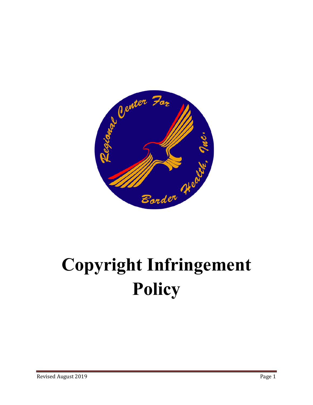

# **Copyright Infringement Policy**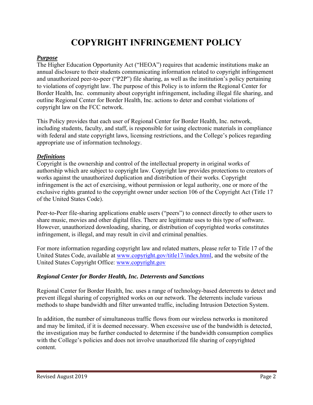# **COPYRIGHT INFRINGEMENT POLICY**

#### *Purpose*

The Higher Education Opportunity Act ("HEOA") requires that academic institutions make an annual disclosure to their students communicating information related to copyright infringement and unauthorized peer-to-peer ("P2P") file sharing, as well as the institution's policy pertaining to violations of copyright law. The purpose of this Policy is to inform the Regional Center for Border Health, Inc. community about copyright infringement, including illegal file sharing, and outline Regional Center for Border Health, Inc. actions to deter and combat violations of copyright law on the FCC network.

This Policy provides that each user of Regional Center for Border Health, Inc. network, including students, faculty, and staff, is responsible for using electronic materials in compliance with federal and state copyright laws, licensing restrictions, and the College's polices regarding appropriate use of information technology.

#### *Definitions*

Copyright is the ownership and control of the intellectual property in original works of authorship which are subject to copyright law. Copyright law provides protections to creators of works against the unauthorized duplication and distribution of their works. Copyright infringement is the act of exercising, without permission or legal authority, one or more of the exclusive rights granted to the copyright owner under section 106 of the Copyright Act (Title 17 of the United States Code).

Peer-to-Peer file-sharing applications enable users ("peers") to connect directly to other users to share music, movies and other digital files. There are legitimate uses to this type of software. However, unauthorized downloading, sharing, or distribution of copyrighted works constitutes infringement, is illegal, and may result in civil and criminal penalties.

For more information regarding copyright law and related matters, please refer to Title 17 of the United States Code, available at www.copyright.gov/title17/index.html, and the website of the United States Copyright Office: www.copyright.gov

## *Regional Center for Border Health, Inc. Deterrents and Sanctions*

Regional Center for Border Health, Inc. uses a range of technology-based deterrents to detect and prevent illegal sharing of copyrighted works on our network. The deterrents include various methods to shape bandwidth and filter unwanted traffic, including Intrusion Detection System.

In addition, the number of simultaneous traffic flows from our wireless networks is monitored and may be limited, if it is deemed necessary. When excessive use of the bandwidth is detected, the investigation may be further conducted to determine if the bandwidth consumption complies with the College's policies and does not involve unauthorized file sharing of copyrighted content.